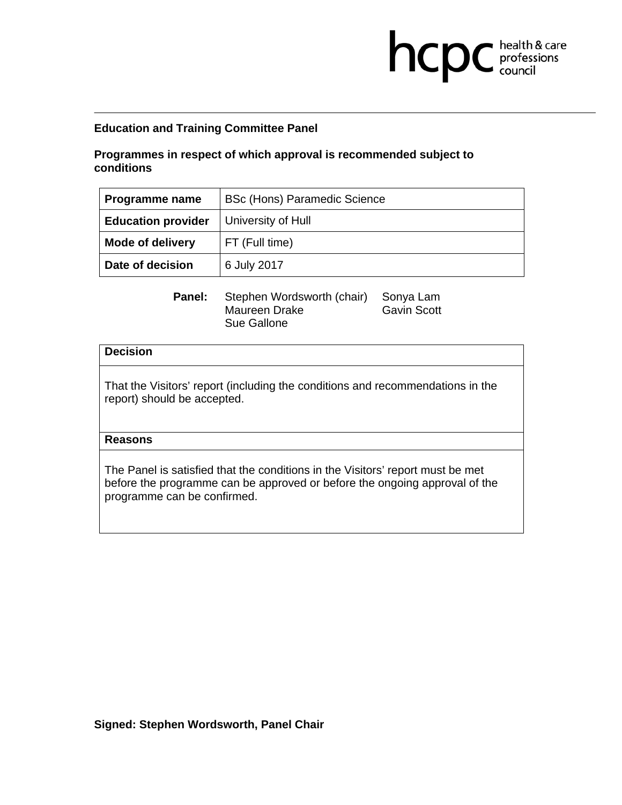# **Programmes in respect of which approval is recommended subject to conditions**

| Programme name            | <b>BSc (Hons) Paramedic Science</b> |
|---------------------------|-------------------------------------|
| <b>Education provider</b> | University of Hull                  |
| <b>Mode of delivery</b>   | FT (Full time)                      |
| Date of decision          | 6 July 2017                         |

**health & care** 

Panel: Stephen Wordsworth (chair) Sonya Lam Maureen Drake Gavin Scott Sue Gallone

### **Decision**

That the Visitors' report (including the conditions and recommendations in the report) should be accepted.

## **Reasons**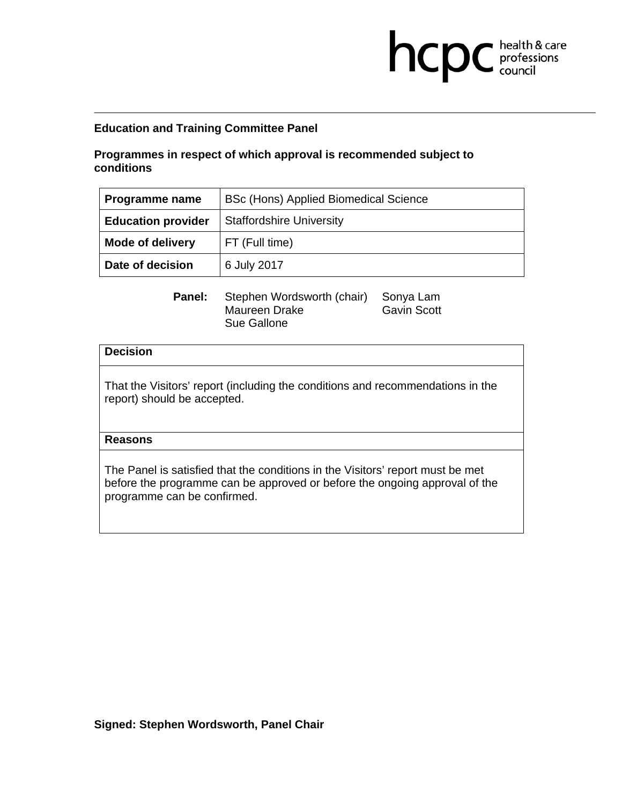# **Programmes in respect of which approval is recommended subject to conditions**

| Programme name            | BSc (Hons) Applied Biomedical Science |
|---------------------------|---------------------------------------|
| <b>Education provider</b> | <b>Staffordshire University</b>       |
| <b>Mode of delivery</b>   | FT (Full time)                        |
| Date of decision          | 6 July 2017                           |

**health & care** 

Panel: Stephen Wordsworth (chair) Sonya Lam Maureen Drake Gavin Scott Sue Gallone

### **Decision**

That the Visitors' report (including the conditions and recommendations in the report) should be accepted.

## **Reasons**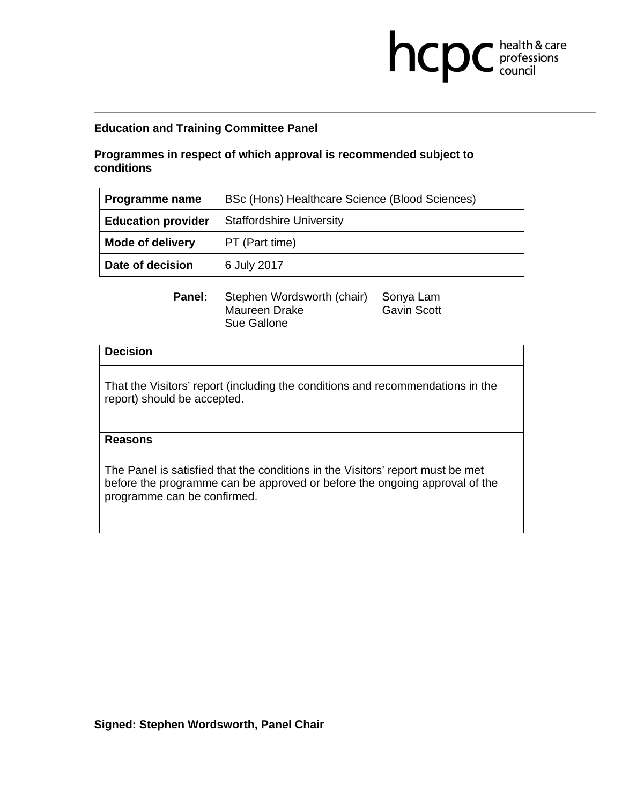# **Programmes in respect of which approval is recommended subject to conditions**

| Programme name            | BSc (Hons) Healthcare Science (Blood Sciences) |
|---------------------------|------------------------------------------------|
| <b>Education provider</b> | <b>Staffordshire University</b>                |
| <b>Mode of delivery</b>   | PT (Part time)                                 |
| Date of decision          | 6 July 2017                                    |

**health & care** 

Panel: Stephen Wordsworth (chair) Sonya Lam Maureen Drake Gavin Scott Sue Gallone

### **Decision**

That the Visitors' report (including the conditions and recommendations in the report) should be accepted.

## **Reasons**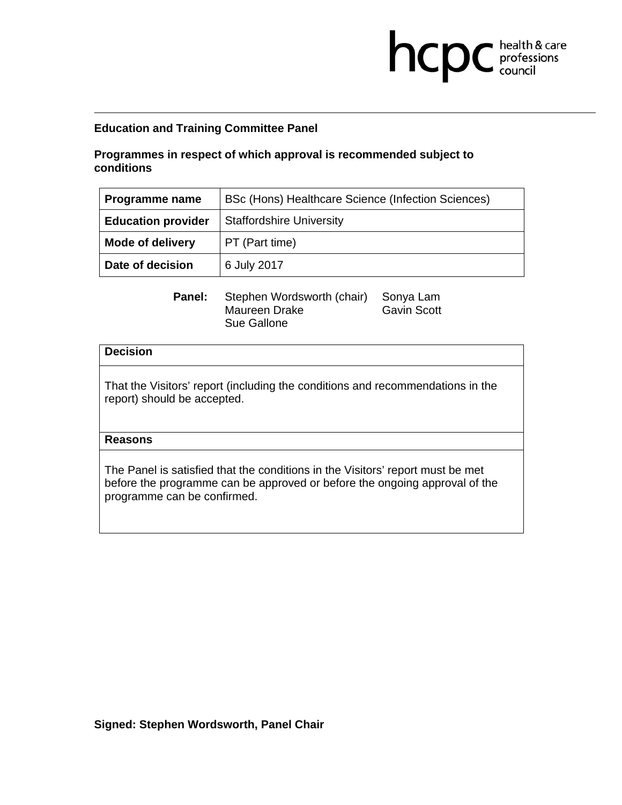# **Programmes in respect of which approval is recommended subject to conditions**

| Programme name            | BSc (Hons) Healthcare Science (Infection Sciences) |
|---------------------------|----------------------------------------------------|
| <b>Education provider</b> | <b>Staffordshire University</b>                    |
| <b>Mode of delivery</b>   | PT (Part time)                                     |
| Date of decision          | 6 July 2017                                        |

**health & care** 

Panel: Stephen Wordsworth (chair) Sonya Lam Maureen Drake Gavin Scott Sue Gallone

### **Decision**

That the Visitors' report (including the conditions and recommendations in the report) should be accepted.

## **Reasons**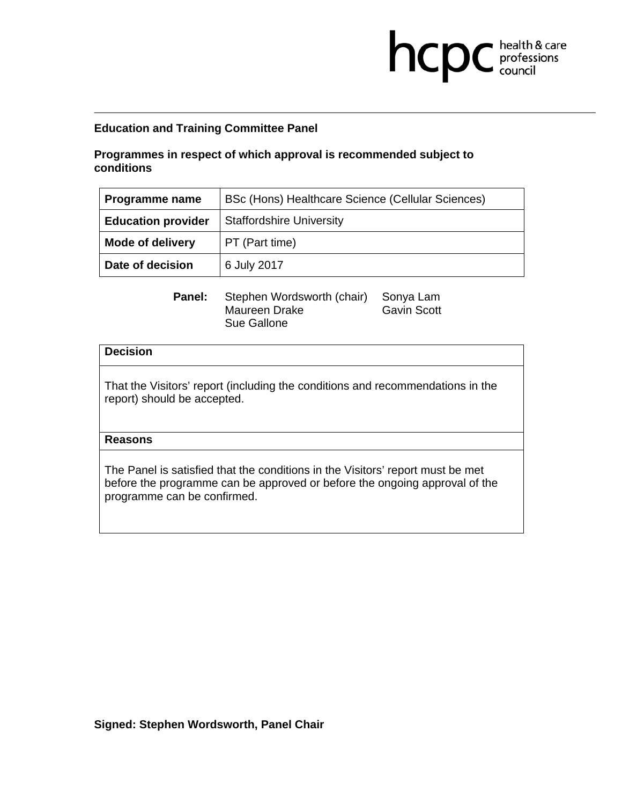# **Programmes in respect of which approval is recommended subject to conditions**

| Programme name            | BSc (Hons) Healthcare Science (Cellular Sciences) |
|---------------------------|---------------------------------------------------|
| <b>Education provider</b> | <b>Staffordshire University</b>                   |
| <b>Mode of delivery</b>   | PT (Part time)                                    |
| Date of decision          | 6 July 2017                                       |

**health & care** 

Panel: Stephen Wordsworth (chair) Sonya Lam Maureen Drake Gavin Scott Sue Gallone

### **Decision**

That the Visitors' report (including the conditions and recommendations in the report) should be accepted.

## **Reasons**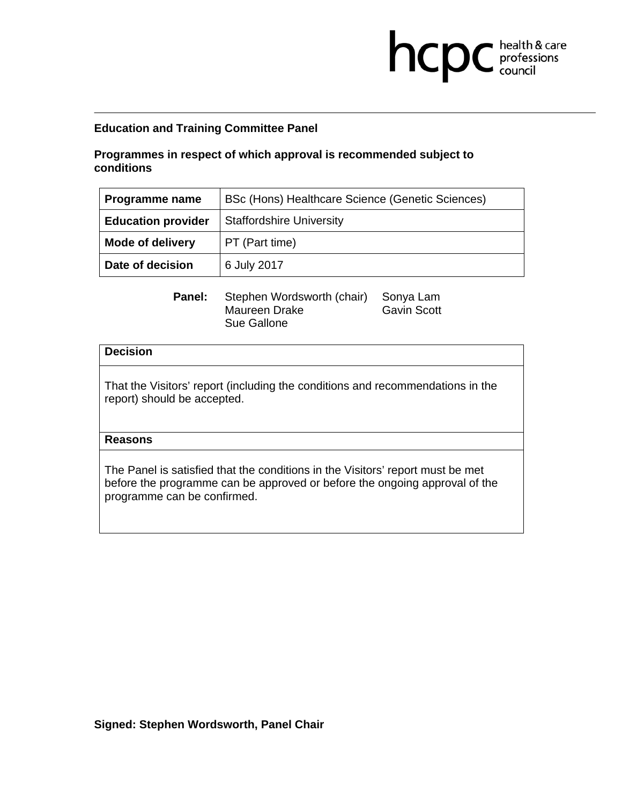# **Programmes in respect of which approval is recommended subject to conditions**

| Programme name            | BSc (Hons) Healthcare Science (Genetic Sciences) |
|---------------------------|--------------------------------------------------|
| <b>Education provider</b> | <b>Staffordshire University</b>                  |
| <b>Mode of delivery</b>   | PT (Part time)                                   |
| Date of decision          | 6 July 2017                                      |

**health & care** 

Panel: Stephen Wordsworth (chair) Sonya Lam Maureen Drake Gavin Scott Sue Gallone

### **Decision**

That the Visitors' report (including the conditions and recommendations in the report) should be accepted.

## **Reasons**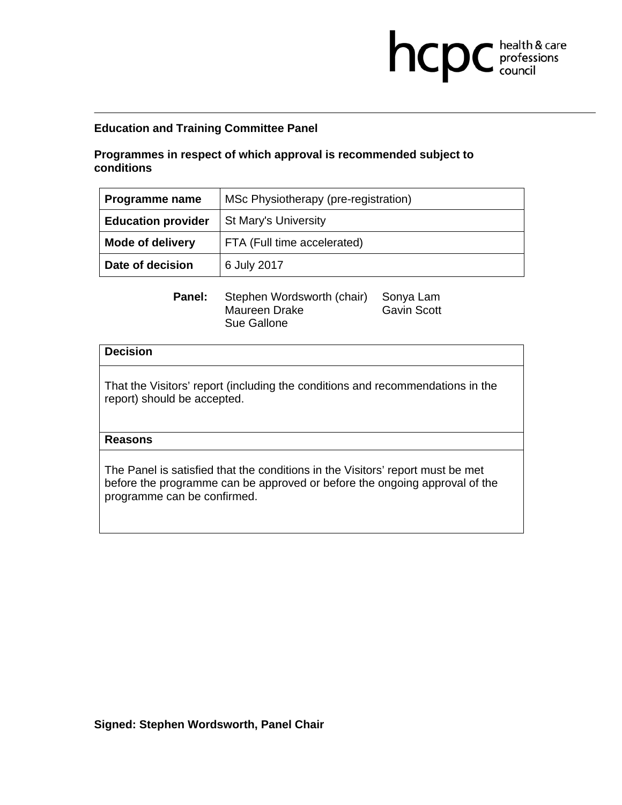# **Programmes in respect of which approval is recommended subject to conditions**

| Programme name            | MSc Physiotherapy (pre-registration) |
|---------------------------|--------------------------------------|
| <b>Education provider</b> | <b>St Mary's University</b>          |
| <b>Mode of delivery</b>   | FTA (Full time accelerated)          |
| Date of decision          | 6 July 2017                          |

**health & care** 

Panel: Stephen Wordsworth (chair) Sonya Lam Maureen Drake Gavin Scott Sue Gallone

### **Decision**

That the Visitors' report (including the conditions and recommendations in the report) should be accepted.

### **Reasons**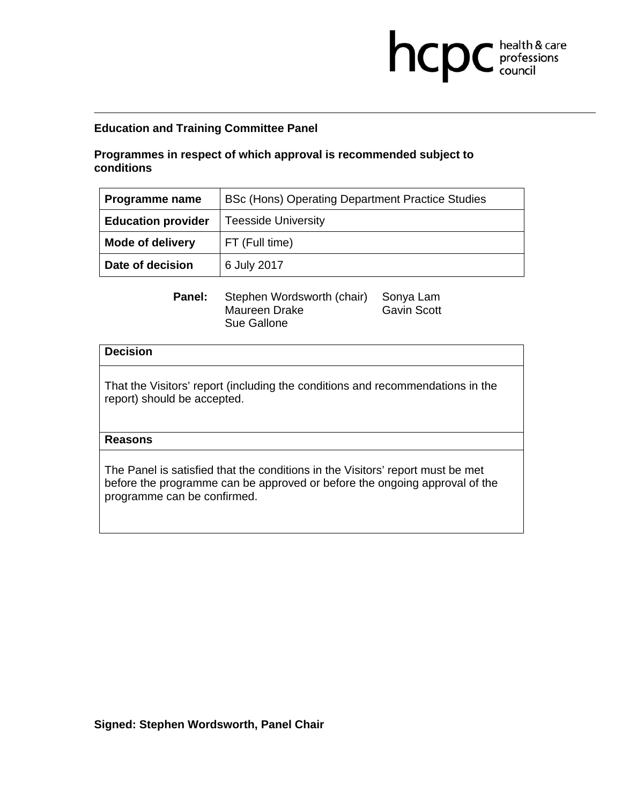# **Programmes in respect of which approval is recommended subject to conditions**

| Programme name            | BSc (Hons) Operating Department Practice Studies |
|---------------------------|--------------------------------------------------|
| <b>Education provider</b> | <b>Teesside University</b>                       |
| <b>Mode of delivery</b>   | FT (Full time)                                   |
| Date of decision          | 6 July 2017                                      |

**health & care** 

Panel: Stephen Wordsworth (chair) Sonya Lam Maureen Drake Gavin Scott Sue Gallone

### **Decision**

That the Visitors' report (including the conditions and recommendations in the report) should be accepted.

### **Reasons**